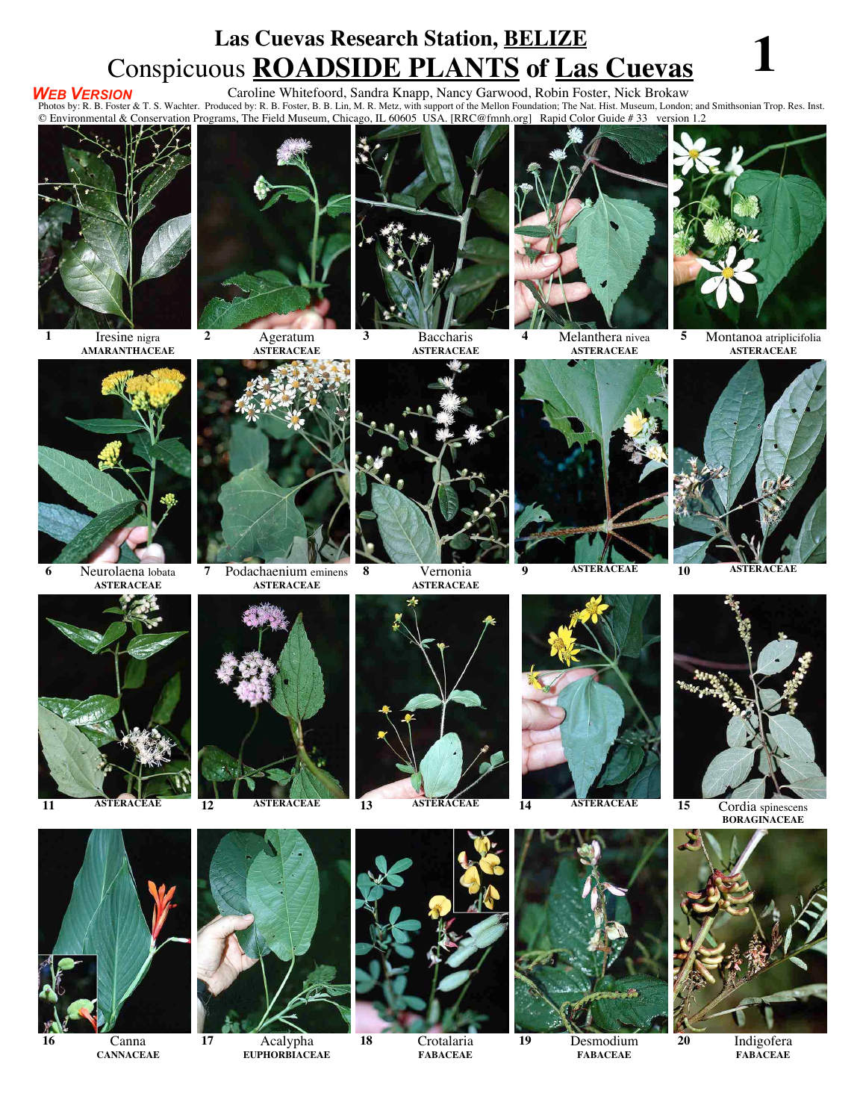### **Las Cuevas Research Station, BELIZE** Conspicuous **ROADSIDE PLANTS** of <u>Las Cuevas</u><br>Caroline Whitefoord, Sandra Knapp, Nancy Garwood, Robin Foster, Nick Brokaw

### *WEB VERSION*

**VEB VERSION** Caroline Whitefoord, Sandra Knapp, Nancy Garwood, Robin Foster, Nick Brokaw<br>Photos by: R. B. Foster & T. S. Wachter. Produced by: R. B. Foster, B. B. Lin, M. R. Metz, with support of the Mellon Foundation; Th

© Environmental & Conservation Programs, The Field Museum, Chicago, IL 60605 USA. [RRC@fmnh.org] Rapid Color Guide # 33 version 1.2



**1** Iresine nigra **AMARANTHACEAE**



**ASTERACEAE**



**3** Baccharis **ASTERACEAE**

**8** Vernonia

**ASTERACEAE**



**4** Melanthera nivea **ASTERACEAE**



**5** Montanoa atriplicifolia **ASTERACEAE**



**6** Neurolaena lobata **ASTERACEAE**



**7** Podachaenium eminens **ASTERACEAE**







**EUPHORBIACEAE**



**18** Crotalaria **FABACEAE**





**9 ASTERACEAE 10 ASTERACEAE**





**19** Desmodium **FABACEAE**



**11 ASTERACEAE 12 ASTERACEAE 13 ASTERACEAE 14 ASTERACEAE 15** Cordia spinescens **BORAGINACEAE**



**20** Indigofera **FABACEAE**



**16** Canna **CANNACEAE**



**17** Acalypha

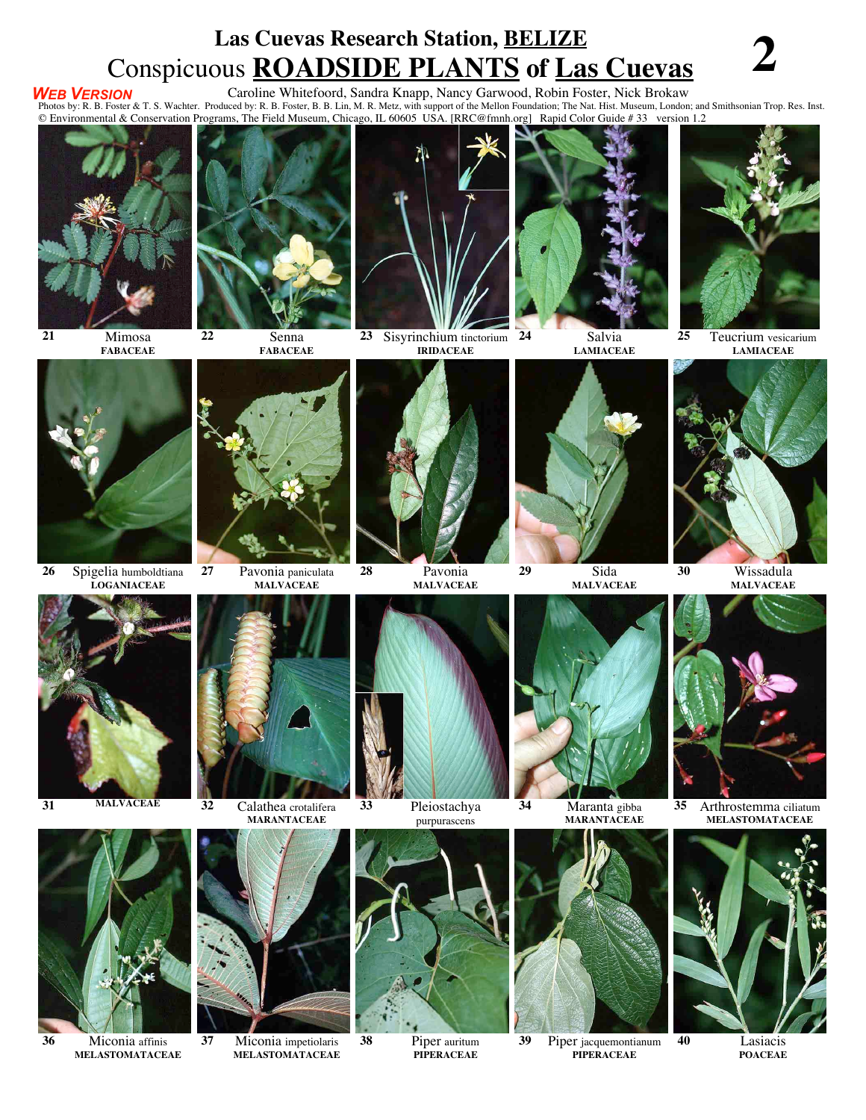## **Las Cuevas Research Station, BELIZE** Conspicuous **ROADSIDE PLANTS** of <u>Las Cuevas</u><br>Caroline Whitefoord, Sandra Knapp, Nancy Garwood, Robin Foster, Nick Brokaw

### *WEB VERSION*

**VEB VERSION** Caroline Whitefoord, Sandra Knapp, Nancy Garwood, Robin Foster, Nick Brokaw<br>Photos by: R. B. Foster & T. S. Wachter. Produced by: R. B. Foster, B. B. Lin, M. R. Metz, with support of the Mellon Foundation; Th © Environmental & Conservation Programs, The Field Museum, Chicago, IL 60605 USA. [RRC@fmnh.org] Rapid Color Guide # 33 version 1.2



**21** Mimosa **FABACEAE**



**FABACEAE**



**23** Sisyrinchium tinctorium **IRIDACEAE**



**24** Salvia **LAMIACEAE**



**25** Teucrium vesicarium **LAMIACEAE**



**26** Spigelia humboldtiana **LOGANIACEAE**

**36** Miconia affinis **MELASTOMATACEAE**



**27** Pavonia paniculata

**MALVACEAE**





**37** Miconia impetiolaris **MELASTOMATACEAE**



**MALVACEAE**



purpurascens



**38** Piper auritum **PIPERACEAE**



**MALVACEAE**

**MARANTACEAE**

**39** Piper jacquemontianum **PIPERACEAE**



**MELASTOMATACEAE**



**40** Lasiacis **POACEAE**